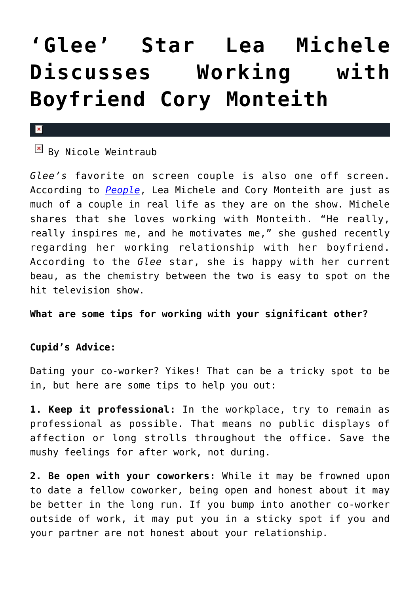## **['Glee' Star Lea Michele](https://cupidspulse.com/38145/glee-lea-michele-working-boyfriend-cory-monteith/) [Discusses Working with](https://cupidspulse.com/38145/glee-lea-michele-working-boyfriend-cory-monteith/) [Boyfriend Cory Monteith](https://cupidspulse.com/38145/glee-lea-michele-working-boyfriend-cory-monteith/)**

## $\overline{\mathbf{x}}$

 $\mathbb{E}$  By Nicole Weintraub

*Glee's* favorite on screen couple is also one off screen. According to *[People](http://www.people.com/people/article/0,,20629618,00.html)*, Lea Michele and Cory Monteith are just as much of a couple in real life as they are on the show. Michele shares that she loves working with Monteith. "He really, really inspires me, and he motivates me," she gushed recently regarding her working relationship with her boyfriend. According to the *Glee* star, she is happy with her current beau, as the chemistry between the two is easy to spot on the hit television show.

**What are some tips for working with your significant other?**

## **Cupid's Advice:**

Dating your co-worker? Yikes! That can be a tricky spot to be in, but here are some tips to help you out:

**1. Keep it professional:** In the workplace, try to remain as professional as possible. That means no public displays of affection or long strolls throughout the office. Save the mushy feelings for after work, not during.

**2. Be open with your coworkers:** While it may be frowned upon to date a fellow coworker, being open and honest about it may be better in the long run. If you bump into another co-worker outside of work, it may put you in a sticky spot if you and your partner are not honest about your relationship.